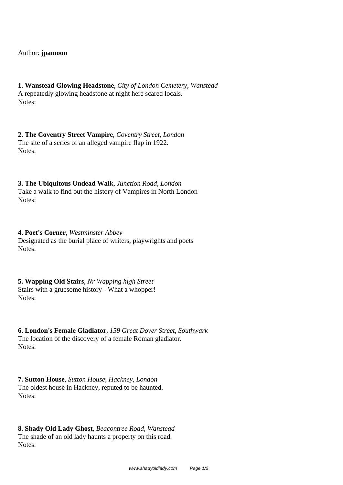Author: **jpamoon**

**1. Wanstead Glowing Headstone**, *City of London Cemetery, Wanstead* A repeatedly glowing headstone at night here scared locals. Notes:

**2. The Coventry Street Vampire**, *Coventry Street, London* The site of a series of an alleged vampire flap in 1922. Notes:

**3. The Ubiquitous Undead Walk**, *Junction Road, London* Take a walk to find out the history of Vampires in North London Notes:

**4. Poet's Corner**, *Westminster Abbey* Designated as the burial place of writers, playwrights and poets Notes:

**5. Wapping Old Stairs**, *Nr Wapping high Street* Stairs with a gruesome history - What a whopper! Notes:

**6. London's Female Gladiator**, *159 Great Dover Street, Southwark* The location of the discovery of a female Roman gladiator. Notes:

**7. Sutton House**, *Sutton House, Hackney, London* The oldest house in Hackney, reputed to be haunted. Notes:

**8. Shady Old Lady Ghost**, *Beacontree Road, Wanstead* The shade of an old lady haunts a property on this road. Notes: